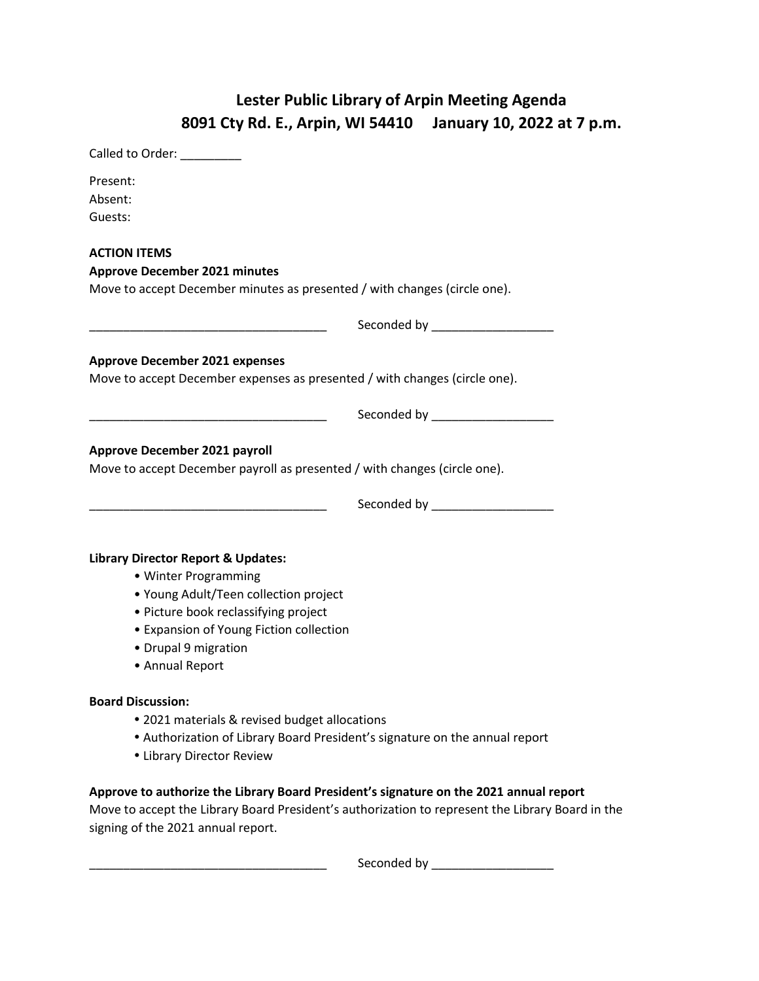## **Lester Public Library of Arpin Meeting Agenda 8091 Cty Rd. E., Arpin, WI 54410 January 10, 2022 at 7 p.m.**

| Called to Order: ________                                                                                                                                                                                                                    |                                                                                        |
|----------------------------------------------------------------------------------------------------------------------------------------------------------------------------------------------------------------------------------------------|----------------------------------------------------------------------------------------|
| Present:<br>Absent:<br>Guests:                                                                                                                                                                                                               |                                                                                        |
| <b>ACTION ITEMS</b>                                                                                                                                                                                                                          |                                                                                        |
| <b>Approve December 2021 minutes</b><br>Move to accept December minutes as presented / with changes (circle one).                                                                                                                            |                                                                                        |
|                                                                                                                                                                                                                                              |                                                                                        |
| <b>Approve December 2021 expenses</b>                                                                                                                                                                                                        |                                                                                        |
| Move to accept December expenses as presented / with changes (circle one).                                                                                                                                                                   |                                                                                        |
|                                                                                                                                                                                                                                              |                                                                                        |
| Approve December 2021 payroll<br>Move to accept December payroll as presented / with changes (circle one).                                                                                                                                   |                                                                                        |
| <b>Library Director Report &amp; Updates:</b><br>• Winter Programming<br>• Young Adult/Teen collection project<br>• Picture book reclassifying project<br>• Expansion of Young Fiction collection<br>• Drupal 9 migration<br>• Annual Report |                                                                                        |
| <b>Board Discussion:</b><br>• 2021 materials & revised budget allocations<br>• Library Director Review                                                                                                                                       | • Authorization of Library Board President's signature on the annual report            |
|                                                                                                                                                                                                                                              | Approve to authorize the Library Board President's signature on the 2021 annual report |

Move to accept the Library Board President's authorization to represent the Library Board in the signing of the 2021 annual report.

\_\_\_\_\_\_\_\_\_\_\_\_\_\_\_\_\_\_\_\_\_\_\_\_\_\_\_\_\_\_\_\_\_\_\_ Seconded by \_\_\_\_\_\_\_\_\_\_\_\_\_\_\_\_\_\_